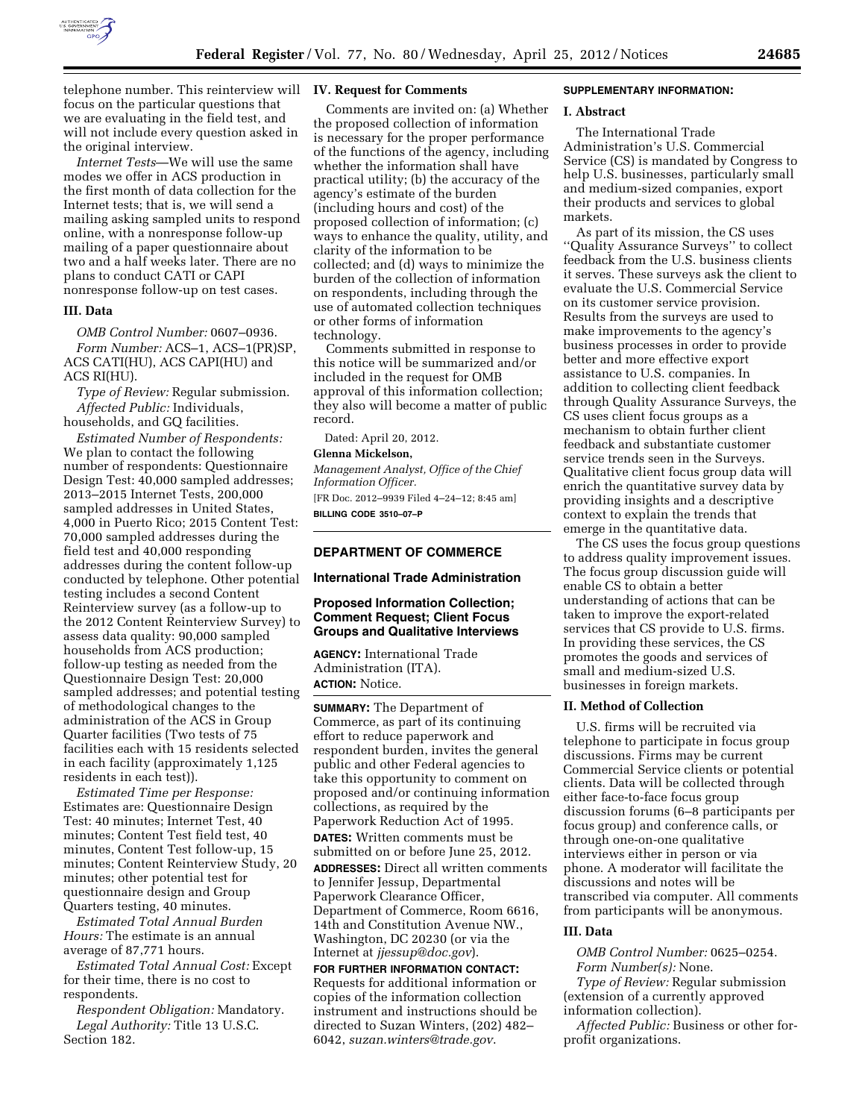

telephone number. This reinterview will **IV. Request for Comments**  focus on the particular questions that we are evaluating in the field test, and will not include every question asked in the original interview.

*Internet Tests*—We will use the same modes we offer in ACS production in the first month of data collection for the Internet tests; that is, we will send a mailing asking sampled units to respond online, with a nonresponse follow-up mailing of a paper questionnaire about two and a half weeks later. There are no plans to conduct CATI or CAPI nonresponse follow-up on test cases.

#### **III. Data**

*OMB Control Number:* 0607–0936. *Form Number:* ACS–1, ACS–1(PR)SP, ACS CATI(HU), ACS CAPI(HU) and ACS RI(HU).

*Type of Review:* Regular submission. *Affected Public:* Individuals, households, and GQ facilities.

*Estimated Number of Respondents:*  We plan to contact the following number of respondents: Questionnaire Design Test: 40,000 sampled addresses; 2013–2015 Internet Tests, 200,000 sampled addresses in United States, 4,000 in Puerto Rico; 2015 Content Test: 70,000 sampled addresses during the field test and 40,000 responding addresses during the content follow-up conducted by telephone. Other potential testing includes a second Content Reinterview survey (as a follow-up to the 2012 Content Reinterview Survey) to assess data quality: 90,000 sampled households from ACS production; follow-up testing as needed from the Questionnaire Design Test: 20,000 sampled addresses; and potential testing of methodological changes to the administration of the ACS in Group Quarter facilities (Two tests of 75 facilities each with 15 residents selected in each facility (approximately 1,125 residents in each test)).

*Estimated Time per Response:*  Estimates are: Questionnaire Design Test: 40 minutes; Internet Test, 40 minutes; Content Test field test, 40 minutes, Content Test follow-up, 15 minutes; Content Reinterview Study, 20 minutes; other potential test for questionnaire design and Group Quarters testing, 40 minutes.

*Estimated Total Annual Burden Hours:* The estimate is an annual average of 87,771 hours.

*Estimated Total Annual Cost:* Except for their time, there is no cost to respondents.

*Respondent Obligation:* Mandatory. *Legal Authority:* Title 13 U.S.C. Section 182.

Comments are invited on: (a) Whether the proposed collection of information is necessary for the proper performance of the functions of the agency, including whether the information shall have practical utility; (b) the accuracy of the agency's estimate of the burden (including hours and cost) of the proposed collection of information; (c) ways to enhance the quality, utility, and clarity of the information to be collected; and (d) ways to minimize the burden of the collection of information on respondents, including through the use of automated collection techniques or other forms of information technology.

Comments submitted in response to this notice will be summarized and/or included in the request for OMB approval of this information collection; they also will become a matter of public record.

Dated: April 20, 2012.

#### **Glenna Mickelson,**

*Management Analyst, Office of the Chief Information Officer.* 

[FR Doc. 2012–9939 Filed 4–24–12; 8:45 am] **BILLING CODE 3510–07–P** 

### **DEPARTMENT OF COMMERCE**

**International Trade Administration** 

#### **Proposed Information Collection; Comment Request; Client Focus Groups and Qualitative Interviews**

**AGENCY:** International Trade Administration (ITA). **ACTION:** Notice.

**SUMMARY:** The Department of Commerce, as part of its continuing effort to reduce paperwork and respondent burden, invites the general public and other Federal agencies to take this opportunity to comment on proposed and/or continuing information collections, as required by the Paperwork Reduction Act of 1995. **DATES:** Written comments must be submitted on or before June 25, 2012. **ADDRESSES:** Direct all written comments to Jennifer Jessup, Departmental Paperwork Clearance Officer, Department of Commerce, Room 6616, 14th and Constitution Avenue NW., Washington, DC 20230 (or via the Internet at *[jjessup@doc.gov](mailto:jjessup@doc.gov)*).

**FOR FURTHER INFORMATION CONTACT:**  Requests for additional information or copies of the information collection instrument and instructions should be directed to Suzan Winters, (202) 482– 6042, *[suzan.winters@trade.gov](mailto:suzan.winters@trade.gov)*.

### **SUPPLEMENTARY INFORMATION:**

#### **I. Abstract**

The International Trade Administration's U.S. Commercial Service (CS) is mandated by Congress to help U.S. businesses, particularly small and medium-sized companies, export their products and services to global markets.

As part of its mission, the CS uses ''Quality Assurance Surveys'' to collect feedback from the U.S. business clients it serves. These surveys ask the client to evaluate the U.S. Commercial Service on its customer service provision. Results from the surveys are used to make improvements to the agency's business processes in order to provide better and more effective export assistance to U.S. companies. In addition to collecting client feedback through Quality Assurance Surveys, the CS uses client focus groups as a mechanism to obtain further client feedback and substantiate customer service trends seen in the Surveys. Qualitative client focus group data will enrich the quantitative survey data by providing insights and a descriptive context to explain the trends that emerge in the quantitative data.

The CS uses the focus group questions to address quality improvement issues. The focus group discussion guide will enable CS to obtain a better understanding of actions that can be taken to improve the export-related services that CS provide to U.S. firms. In providing these services, the CS promotes the goods and services of small and medium-sized U.S. businesses in foreign markets.

### **II. Method of Collection**

U.S. firms will be recruited via telephone to participate in focus group discussions. Firms may be current Commercial Service clients or potential clients. Data will be collected through either face-to-face focus group discussion forums (6–8 participants per focus group) and conference calls, or through one-on-one qualitative interviews either in person or via phone. A moderator will facilitate the discussions and notes will be transcribed via computer. All comments from participants will be anonymous.

#### **III. Data**

*OMB Control Number:* 0625–0254. *Form Number(s):* None.

*Type of Review:* Regular submission (extension of a currently approved information collection).

*Affected Public:* Business or other forprofit organizations.